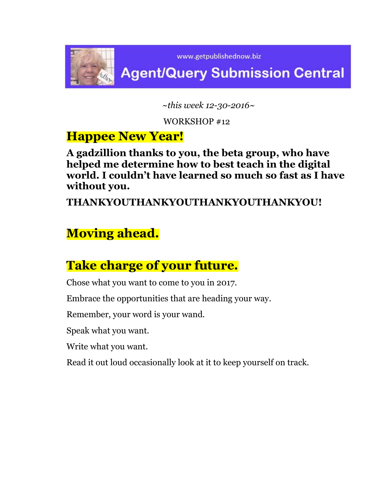

 *~this week 12-30-2016~*

WORKSHOP #12

## **Happee New Year!**

**A gadzillion thanks to you, the beta group, who have helped me determine how to best teach in the digital world. I couldn't have learned so much so fast as I have without you.** 

**THANKYOUTHANKYOUTHANKYOUTHANKYOU!**

# **Moving ahead.**

# **Take charge of your future.**

Chose what you want to come to you in 2017.

Embrace the opportunities that are heading your way.

Remember, your word is your wand.

Speak what you want.

Write what you want.

Read it out loud occasionally look at it to keep yourself on track.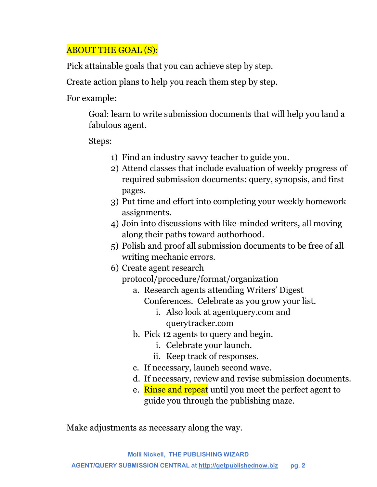## ABOUT THE GOAL (S):

Pick attainable goals that you can achieve step by step.

Create action plans to help you reach them step by step.

For example:

Goal: learn to write submission documents that will help you land a fabulous agent.

Steps:

- 1) Find an industry savvy teacher to guide you.
- 2) Attend classes that include evaluation of weekly progress of required submission documents: query, synopsis, and first pages.
- 3) Put time and effort into completing your weekly homework assignments.
- 4) Join into discussions with like-minded writers, all moving along their paths toward authorhood.
- 5) Polish and proof all submission documents to be free of all writing mechanic errors.
- 6) Create agent research protocol/procedure/format/organization
	- a. Research agents attending Writers' Digest Conferences. Celebrate as you grow your list.
		- i. Also look at agentquery.com and querytracker.com
	- b. Pick 12 agents to query and begin.
		- i. Celebrate your launch.
		- ii. Keep track of responses.
	- c. If necessary, launch second wave.
	- d. If necessary, review and revise submission documents.
	- e. Rinse and repeat until you meet the perfect agent to guide you through the publishing maze.

Make adjustments as necessary along the way.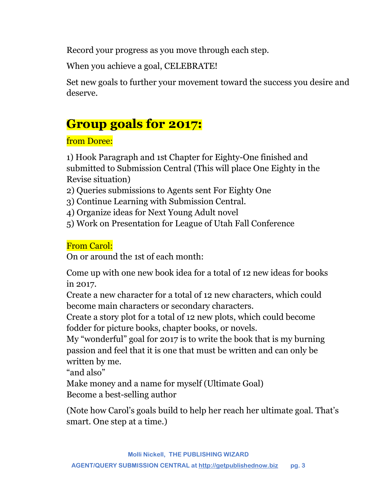Record your progress as you move through each step.

When you achieve a goal, CELEBRATE!

Set new goals to further your movement toward the success you desire and deserve.

# **Group goals for 2017:**

## from Doree:

1) Hook Paragraph and 1st Chapter for Eighty-One finished and submitted to Submission Central (This will place One Eighty in the Revise situation)

- 2) Queries submissions to Agents sent For Eighty One
- 3) Continue Learning with Submission Central.
- 4) Organize ideas for Next Young Adult novel
- 5) Work on Presentation for League of Utah Fall Conference

## From Carol:

On or around the 1st of each month:

Come up with one new book idea for a total of 12 new ideas for books in 2017.

Create a new character for a total of 12 new characters, which could become main characters or secondary characters.

Create a story plot for a total of 12 new plots, which could become fodder for picture books, chapter books, or novels.

My "wonderful" goal for 2017 is to write the book that is my burning passion and feel that it is one that must be written and can only be written by me.

"and also"

Make money and a name for myself (Ultimate Goal) Become a best-selling author

(Note how Carol's goals build to help her reach her ultimate goal. That's smart. One step at a time.)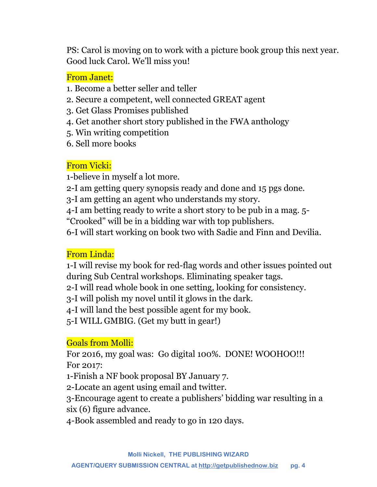PS: Carol is moving on to work with a picture book group this next year. Good luck Carol. We'll miss you!

#### From Janet:

- 1. Become a better seller and teller
- 2. Secure a competent, well connected GREAT agent
- 3. Get Glass Promises published
- 4. Get another short story published in the FWA anthology
- 5. Win writing competition
- 6. Sell more books

## From Vicki:

1-believe in myself a lot more.

- 2-I am getting query synopsis ready and done and 15 pgs done.
- 3-I am getting an agent who understands my story.
- 4-I am betting ready to write a short story to be pub in a mag. 5-
- "Crooked" will be in a bidding war with top publishers.

6-I will start working on book two with Sadie and Finn and Devilia.

## From Linda:

1-I will revise my book for red-flag words and other issues pointed out during Sub Central workshops. Eliminating speaker tags.

2-I will read whole book in one setting, looking for consistency.

3-I will polish my novel until it glows in the dark.

4-I will land the best possible agent for my book.

5-I WILL GMBIG. (Get my butt in gear!)

## Goals from Molli:

For 2016, my goal was: Go digital 100%. DONE! WOOHOO!!! For 2017:

1-Finish a NF book proposal BY January 7.

2-Locate an agent using email and twitter.

3-Encourage agent to create a publishers' bidding war resulting in a six (6) figure advance.

4-Book assembled and ready to go in 120 days.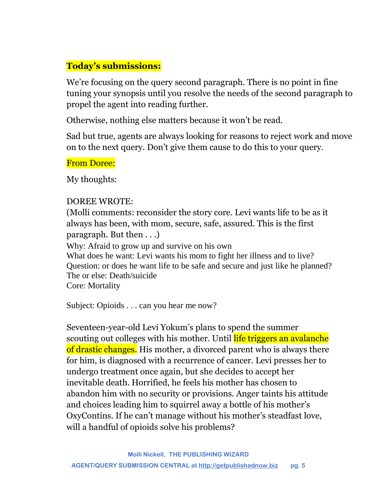## **Today's submissions:**

We're focusing on the query second paragraph. There is no point in fine tuning your synopsis until you resolve the needs of the second paragraph to propel the agent into reading further.

Otherwise, nothing else matters because it won't be read.

Sad but true, agents are always looking for reasons to reject work and move on to the next query. Don't give them cause to do this to your query.

#### From Doree:

My thoughts:

#### DOREE WROTE:

(Molli comments: reconsider the story core. Levi wants life to be as it always has been, with mom, secure, safe, assured. This is the first paragraph. But then . . .)

Why: Afraid to grow up and survive on his own

What does he want: Levi wants his mom to fight her illness and to live? Question: or does he want life to be safe and secure and just like he planned? The or else: Death/suicide

Core: Mortality

Subject: Opioids . . . can you hear me now?

Seventeen-year-old Levi Yokum's plans to spend the summer scouting out colleges with his mother. Until life triggers an avalanche of drastic changes. His mother, a divorced parent who is always there for him, is diagnosed with a recurrence of cancer. Levi presses her to undergo treatment once again, but she decides to accept her inevitable death. Horrified, he feels his mother has chosen to abandon him with no security or provisions. Anger taints his attitude and choices leading him to squirrel away a bottle of his mother's OxyContins. If he can't manage without his mother's steadfast love, will a handful of opioids solve his problems?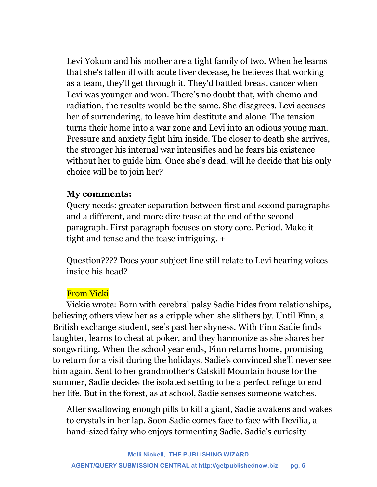Levi Yokum and his mother are a tight family of two. When he learns that she's fallen ill with acute liver decease, he believes that working as a team, they'll get through it. They'd battled breast cancer when Levi was younger and won. There's no doubt that, with chemo and radiation, the results would be the same. She disagrees. Levi accuses her of surrendering, to leave him destitute and alone. The tension turns their home into a war zone and Levi into an odious young man. Pressure and anxiety fight him inside. The closer to death she arrives, the stronger his internal war intensifies and he fears his existence without her to guide him. Once she's dead, will he decide that his only choice will be to join her?

#### **My comments:**

Query needs: greater separation between first and second paragraphs and a different, and more dire tease at the end of the second paragraph. First paragraph focuses on story core. Period. Make it tight and tense and the tease intriguing. +

Question???? Does your subject line still relate to Levi hearing voices inside his head?

## From Vicki

Vickie wrote: Born with cerebral palsy Sadie hides from relationships, believing others view her as a cripple when she slithers by. Until Finn, a British exchange student, see's past her shyness. With Finn Sadie finds laughter, learns to cheat at poker, and they harmonize as she shares her songwriting. When the school year ends, Finn returns home, promising to return for a visit during the holidays. Sadie's convinced she'll never see him again. Sent to her grandmother's Catskill Mountain house for the summer, Sadie decides the isolated setting to be a perfect refuge to end her life. But in the forest, as at school, Sadie senses someone watches.

After swallowing enough pills to kill a giant, Sadie awakens and wakes to crystals in her lap. Soon Sadie comes face to face with Devilia, a hand-sized fairy who enjoys tormenting Sadie. Sadie's curiosity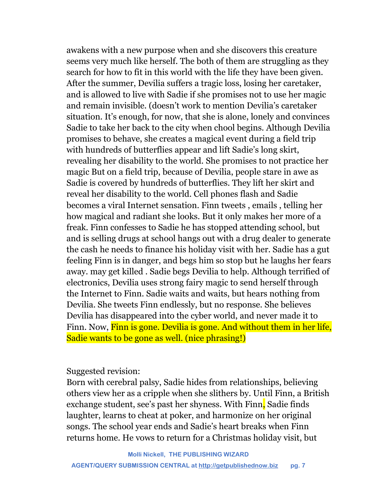awakens with a new purpose when and she discovers this creature seems very much like herself. The both of them are struggling as they search for how to fit in this world with the life they have been given. After the summer, Devilia suffers a tragic loss, losing her caretaker, and is allowed to live with Sadie if she promises not to use her magic and remain invisible. (doesn't work to mention Devilia's caretaker situation. It's enough, for now, that she is alone, lonely and convinces Sadie to take her back to the city when chool begins. Although Devilia promises to behave, she creates a magical event during a field trip with hundreds of butterflies appear and lift Sadie's long skirt, revealing her disability to the world. She promises to not practice her magic But on a field trip, because of Devilia, people stare in awe as Sadie is covered by hundreds of butterflies. They lift her skirt and reveal her disability to the world. Cell phones flash and Sadie becomes a viral Internet sensation. Finn tweets , emails , telling her how magical and radiant she looks. But it only makes her more of a freak. Finn confesses to Sadie he has stopped attending school, but and is selling drugs at school hangs out with a drug dealer to generate the cash he needs to finance his holiday visit with her. Sadie has a gut feeling Finn is in danger, and begs him so stop but he laughs her fears away. may get killed . Sadie begs Devilia to help. Although terrified of electronics, Devilia uses strong fairy magic to send herself through the Internet to Finn. Sadie waits and waits, but hears nothing from Devilia. She tweets Finn endlessly, but no response. She believes Devilia has disappeared into the cyber world, and never made it to Finn. Now, Finn is gone. Devilia is gone. And without them in her life, Sadie wants to be gone as well. (nice phrasing!)

Suggested revision:

Born with cerebral palsy, Sadie hides from relationships, believing others view her as a cripple when she slithers by. Until Finn, a British exchange student, see's past her shyness. With Finn, Sadie finds laughter, learns to cheat at poker, and harmonize on her original songs. The school year ends and Sadie's heart breaks when Finn returns home. He vows to return for a Christmas holiday visit, but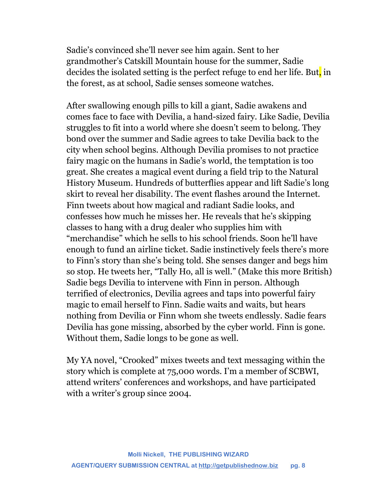Sadie's convinced she'll never see him again. Sent to her grandmother's Catskill Mountain house for the summer, Sadie decides the isolated setting is the perfect refuge to end her life. But, in the forest, as at school, Sadie senses someone watches.

After swallowing enough pills to kill a giant, Sadie awakens and comes face to face with Devilia, a hand-sized fairy. Like Sadie, Devilia struggles to fit into a world where she doesn't seem to belong. They bond over the summer and Sadie agrees to take Devilia back to the city when school begins. Although Devilia promises to not practice fairy magic on the humans in Sadie's world, the temptation is too great. She creates a magical event during a field trip to the Natural History Museum. Hundreds of butterflies appear and lift Sadie's long skirt to reveal her disability. The event flashes around the Internet. Finn tweets about how magical and radiant Sadie looks, and confesses how much he misses her. He reveals that he's skipping classes to hang with a drug dealer who supplies him with "merchandise" which he sells to his school friends. Soon he'll have enough to fund an airline ticket. Sadie instinctively feels there's more to Finn's story than she's being told. She senses danger and begs him so stop. He tweets her, "Tally Ho, all is well." (Make this more British) Sadie begs Devilia to intervene with Finn in person. Although terrified of electronics, Devilia agrees and taps into powerful fairy magic to email herself to Finn. Sadie waits and waits, but hears nothing from Devilia or Finn whom she tweets endlessly. Sadie fears Devilia has gone missing, absorbed by the cyber world. Finn is gone. Without them, Sadie longs to be gone as well.

My YA novel, "Crooked" mixes tweets and text messaging within the story which is complete at 75,000 words. I'm a member of SCBWI, attend writers' conferences and workshops, and have participated with a writer's group since 2004.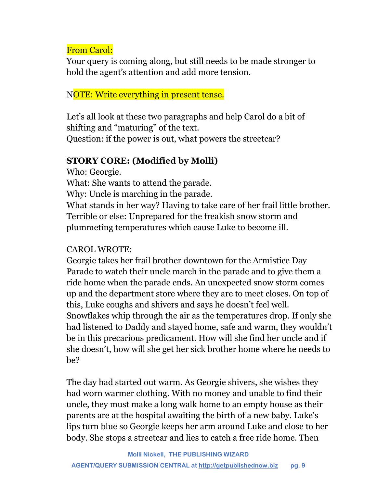## From Carol:

Your query is coming along, but still needs to be made stronger to hold the agent's attention and add more tension.

## NOTE: Write everything in present tense.

Let's all look at these two paragraphs and help Carol do a bit of shifting and "maturing" of the text.

Question: if the power is out, what powers the streetcar?

### **STORY CORE: (Modified by Molli)**

Who: Georgie.

What: She wants to attend the parade.

Why: Uncle is marching in the parade.

What stands in her way? Having to take care of her frail little brother. Terrible or else: Unprepared for the freakish snow storm and plummeting temperatures which cause Luke to become ill.

## CAROL WROTE:

Georgie takes her frail brother downtown for the Armistice Day Parade to watch their uncle march in the parade and to give them a ride home when the parade ends. An unexpected snow storm comes up and the department store where they are to meet closes. On top of this, Luke coughs and shivers and says he doesn't feel well. Snowflakes whip through the air as the temperatures drop. If only she had listened to Daddy and stayed home, safe and warm, they wouldn't be in this precarious predicament. How will she find her uncle and if she doesn't, how will she get her sick brother home where he needs to be?

The day had started out warm. As Georgie shivers, she wishes they had worn warmer clothing. With no money and unable to find their uncle, they must make a long walk home to an empty house as their parents are at the hospital awaiting the birth of a new baby. Luke's lips turn blue so Georgie keeps her arm around Luke and close to her body. She stops a streetcar and lies to catch a free ride home. Then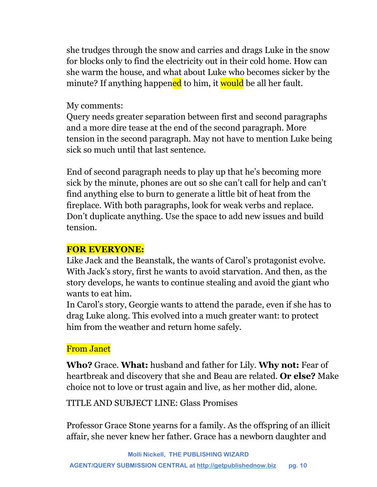she trudges through the snow and carries and drags Luke in the snow for blocks only to find the electricity out in their cold home. How can she warm the house, and what about Luke who becomes sicker by the minute? If anything happened to him, it would be all her fault.

#### My comments:

Query needs greater separation between first and second paragraphs and a more dire tease at the end of the second paragraph. More tension in the second paragraph. May not have to mention Luke being sick so much until that last sentence.

End of second paragraph needs to play up that he's becoming more sick by the minute, phones are out so she can't call for help and can't find anything else to burn to generate a little bit of heat from the fireplace. With both paragraphs, look for weak verbs and replace. Don't duplicate anything. Use the space to add new issues and build tension.

## **FOR EVERYONE:**

Like Jack and the Beanstalk, the wants of Carol's protagonist evolve. With Jack's story, first he wants to avoid starvation. And then, as the story develops, he wants to continue stealing and avoid the giant who wants to eat him.

In Carol's story, Georgie wants to attend the parade, even if she has to drag Luke along. This evolved into a much greater want: to protect him from the weather and return home safely.

## From Janet

**Who?** Grace. **What:** husband and father for Lily. **Why not:** Fear of heartbreak and discovery that she and Beau are related. **Or else?** Make choice not to love or trust again and live, as her mother did, alone.

TITLE AND SUBJECT LINE: Glass Promises

Professor Grace Stone yearns for a family. As the offspring of an illicit affair, she never knew her father. Grace has a newborn daughter and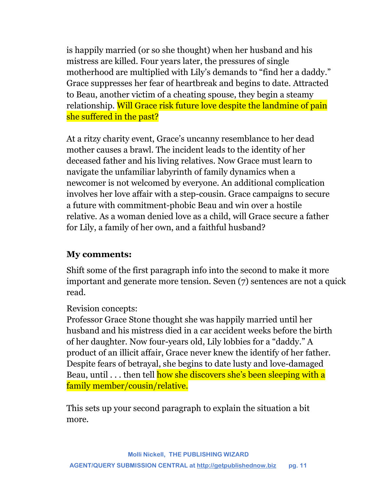is happily married (or so she thought) when her husband and his mistress are killed. Four years later, the pressures of single motherhood are multiplied with Lily's demands to "find her a daddy." Grace suppresses her fear of heartbreak and begins to date. Attracted to Beau, another victim of a cheating spouse, they begin a steamy relationship. Will Grace risk future love despite the landmine of pain she suffered in the past?

At a ritzy charity event, Grace's uncanny resemblance to her dead mother causes a brawl. The incident leads to the identity of her deceased father and his living relatives. Now Grace must learn to navigate the unfamiliar labyrinth of family dynamics when a newcomer is not welcomed by everyone. An additional complication involves her love affair with a step-cousin. Grace campaigns to secure a future with commitment-phobic Beau and win over a hostile relative. As a woman denied love as a child, will Grace secure a father for Lily, a family of her own, and a faithful husband?

## **My comments:**

Shift some of the first paragraph info into the second to make it more important and generate more tension. Seven (7) sentences are not a quick read.

#### Revision concepts:

Professor Grace Stone thought she was happily married until her husband and his mistress died in a car accident weeks before the birth of her daughter. Now four-years old, Lily lobbies for a "daddy." A product of an illicit affair, Grace never knew the identify of her father. Despite fears of betrayal, she begins to date lusty and love-damaged Beau, until . . . then tell how she discovers she's been sleeping with a family member/cousin/relative.

This sets up your second paragraph to explain the situation a bit more.